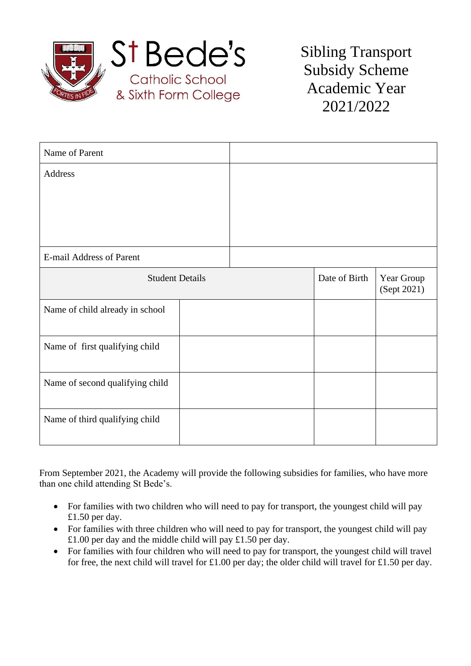

Sibling Transport Subsidy Scheme Academic Year 2021/2022

| Name of Parent                  |  |               |                           |  |
|---------------------------------|--|---------------|---------------------------|--|
| Address                         |  |               |                           |  |
|                                 |  |               |                           |  |
|                                 |  |               |                           |  |
|                                 |  |               |                           |  |
| E-mail Address of Parent        |  |               |                           |  |
| <b>Student Details</b>          |  | Date of Birth | Year Group<br>(Sept 2021) |  |
| Name of child already in school |  |               |                           |  |
| Name of first qualifying child  |  |               |                           |  |
| Name of second qualifying child |  |               |                           |  |
| Name of third qualifying child  |  |               |                           |  |

From September 2021, the Academy will provide the following subsidies for families, who have more than one child attending St Bede's.

- For families with two children who will need to pay for transport, the youngest child will pay £1.50 per day.
- For families with three children who will need to pay for transport, the youngest child will pay £1.00 per day and the middle child will pay £1.50 per day.
- For families with four children who will need to pay for transport, the youngest child will travel for free, the next child will travel for £1.00 per day; the older child will travel for £1.50 per day.